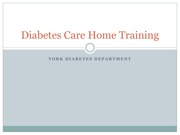# Diabetes Care Home Training

YORK DIABETES DEPARTMENT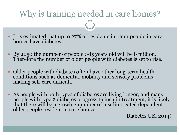### Why is training needed in care homes?

- It is estimated that up to 27% of residents in older people in care homes have diabetes
- By 2050 the number of people >85 years old will be 8 million. Therefore the number of older people with diabetes is set to rise.
- Older people with diabetes often have other long-term health conditions such as dementia, mobility and sensory problems making self-care difficult.
- As people with both types of diabetes are living longer, and many people with type 2 diabetes progress to insulin treatment, it is likely that there will be a growing number of insulin treated dependent older people resident in care homes.

(Diabetes UK, 2014)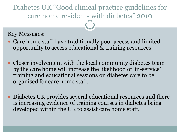#### Diabetes UK "Good clinical practice guidelines for care home residents with diabetes" 2010

Key Messages:

- Care home staff have traditionally poor access and limited opportunity to access educational & training resources.
- Closer involvement with the local community diabetes team by the care home will increase the likelihood of 'in-service' training and educational sessions on diabetes care to be organised for care home staff.
- Diabetes UK provides several educational resources and there is increasing evidence of training courses in diabetes being developed within the UK to assist care home staff.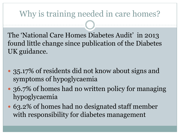### Why is training needed in care homes?

The 'National Care Homes Diabetes Audit' in 2013 found little change since publication of the Diabetes UK guidance.

- 35.17% of residents did not know about signs and symptoms of hypoglycaemia
- 36.7% of homes had no written policy for managing hypoglycaemia
- 63.2% of homes had no designated staff member with responsibility for diabetes management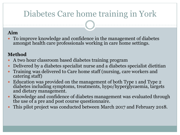## Diabetes Care home training in York

#### **Aim**

 To improve knowledge and confidence in the management of diabetes amongst health care professionals working in care home settings.

#### **Method**

- A two hour classroom based diabetes training program
- Delivered by a diabetes specialist nurse and a diabetes specialist dietitian
- Training was delivered to Care home staff (nursing, care workers and catering staff)
- Education was provided on the management of both Type 1 and Type 2 diabetes including symptoms, treatments, hypo/hyperglycaemia, targets and dietary management.
- Knowledge and confidence of diabetes management was evaluated through the use of a pre and post course questionnaire.
- This pilot project was conducted between March 2017 and February 2018.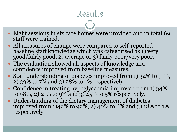### Results

- Eight sessions in six care homes were provided and in total 69 staff were trained.
- All measures of change were compared to self-reported baseline staff knowledge which was categorised as 1) very good/fairly good, 2) average or 3) fairly poor/very poor.
- The evaluation showed all aspects of knowledge and confidence improved from baseline measures.
- Staff understanding of diabetes improved from 1) 34% to 91%, 2) 39% to 7% and 3) 28% to 1% respectively.
- Confidence in treating hypoglycaemia improved from 1) 34% to 98%, 2) 21% to 9% and 3)  $45\%$  to 5% respectively.
- Understanding of the dietary management of diabetes improved from 1)42% to 92%, 2) 40% to 6% and 3) 18% to 1% respectively.